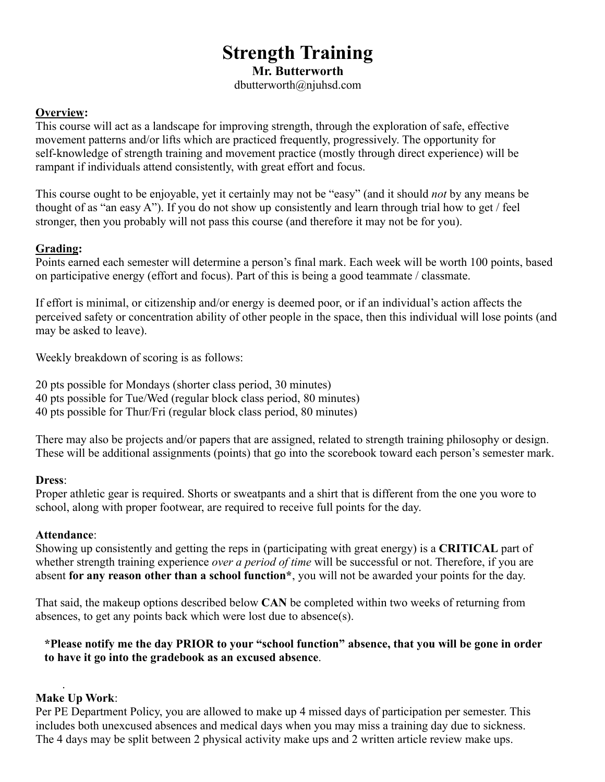# **Strength Training**

**Mr. Butterworth**

dbutterworth@njuhsd.com

# **Overview:**

This course will act as a landscape for improving strength, through the exploration of safe, effective movement patterns and/or lifts which are practiced frequently, progressively. The opportunity for self-knowledge of strength training and movement practice (mostly through direct experience) will be rampant if individuals attend consistently, with great effort and focus.

This course ought to be enjoyable, yet it certainly may not be "easy" (and it should *not* by any means be thought of as "an easy A"). If you do not show up consistently and learn through trial how to get / feel stronger, then you probably will not pass this course (and therefore it may not be for you).

# **Grading:**

Points earned each semester will determine a person's final mark. Each week will be worth 100 points, based on participative energy (effort and focus). Part of this is being a good teammate / classmate.

If effort is minimal, or citizenship and/or energy is deemed poor, or if an individual's action affects the perceived safety or concentration ability of other people in the space, then this individual will lose points (and may be asked to leave).

Weekly breakdown of scoring is as follows:

20 pts possible for Mondays (shorter class period, 30 minutes) 40 pts possible for Tue/Wed (regular block class period, 80 minutes) 40 pts possible for Thur/Fri (regular block class period, 80 minutes)

There may also be projects and/or papers that are assigned, related to strength training philosophy or design. These will be additional assignments (points) that go into the scorebook toward each person's semester mark.

# **Dress**:

Proper athletic gear is required. Shorts or sweatpants and a shirt that is different from the one you wore to school, along with proper footwear, are required to receive full points for the day.

# **Attendance**:

Showing up consistently and getting the reps in (participating with great energy) is a **CRITICAL** part of whether strength training experience *over a period of time* will be successful or not. Therefore, if you are absent **for any reason other than a school function\***, you will not be awarded your points for the day.

That said, the makeup options described below **CAN** be completed within two weeks of returning from absences, to get any points back which were lost due to absence(s).

# **\*Please notify me the day PRIOR to your "school function" absence, that you will be gone in order to have it go into the gradebook as an excused absence**.

#### . **Make Up Work**:

Per PE Department Policy, you are allowed to make up 4 missed days of participation per semester. This includes both unexcused absences and medical days when you may miss a training day due to sickness. The 4 days may be split between 2 physical activity make ups and 2 written article review make ups.